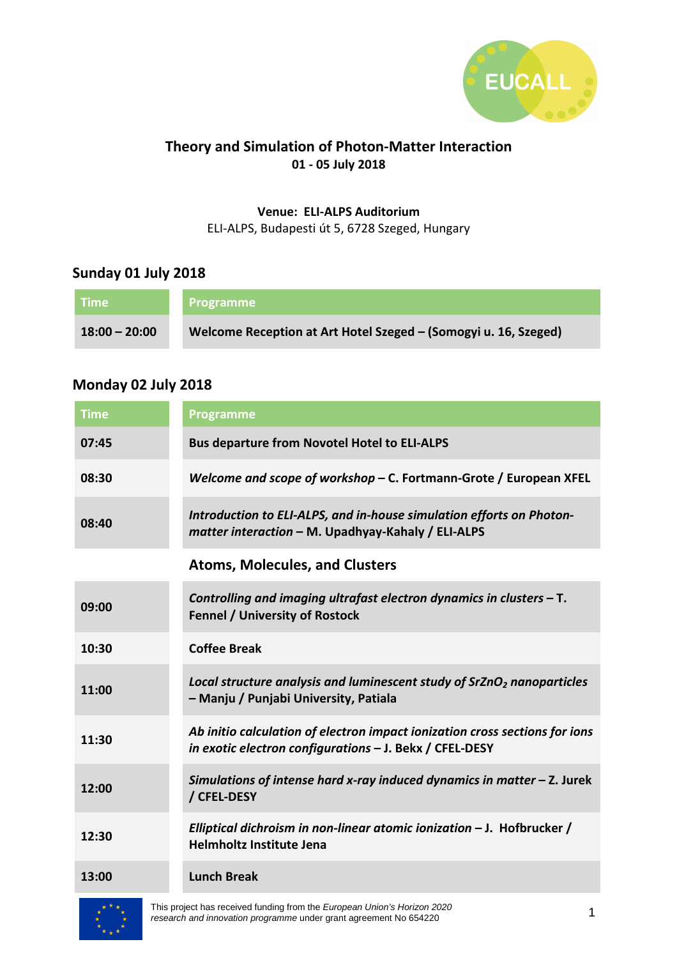

### **Theory and Simulation of Photon-Matter Interaction 01 - 05 July 2018**

#### **Venue: ELI-ALPS Auditorium**  ELI-ALPS, Budapesti út 5, 6728 Szeged, Hungary

### **Sunday 01 July 2018**

| <b>Time</b>     | <b>Programme</b>                                                |
|-----------------|-----------------------------------------------------------------|
| $18:00 - 20:00$ | Welcome Reception at Art Hotel Szeged – (Somogyi u. 16, Szeged) |

### **Monday 02 July 2018**

| <b>Time</b> | <b>Programme</b>                                                                                                                       |
|-------------|----------------------------------------------------------------------------------------------------------------------------------------|
| 07:45       | <b>Bus departure from Novotel Hotel to ELI-ALPS</b>                                                                                    |
| 08:30       | Welcome and scope of workshop - C. Fortmann-Grote / European XFEL                                                                      |
| 08:40       | Introduction to ELI-ALPS, and in-house simulation efforts on Photon-<br>matter interaction - M. Upadhyay-Kahaly / ELI-ALPS             |
|             | <b>Atoms, Molecules, and Clusters</b>                                                                                                  |
| 09:00       | Controlling and imaging ultrafast electron dynamics in clusters $-$ T.<br><b>Fennel / University of Rostock</b>                        |
| 10:30       | <b>Coffee Break</b>                                                                                                                    |
| 11:00       | Local structure analysis and luminescent study of SrZnO <sub>2</sub> nanoparticles<br>- Manju / Punjabi University, Patiala            |
| 11:30       | Ab initio calculation of electron impact ionization cross sections for ions<br>in exotic electron configurations - J. Bekx / CFEL-DESY |
| 12:00       | Simulations of intense hard x-ray induced dynamics in matter $-$ Z. Jurek<br>/ CFEL-DESY                                               |
| 12:30       | Elliptical dichroism in non-linear atomic ionization - J. Hofbrucker /<br><b>Helmholtz Institute Jena</b>                              |
| 13:00       | <b>Lunch Break</b>                                                                                                                     |



This project has received funding from the European Union's Horizon 2020 research and innovation programme under grant agreement No 654220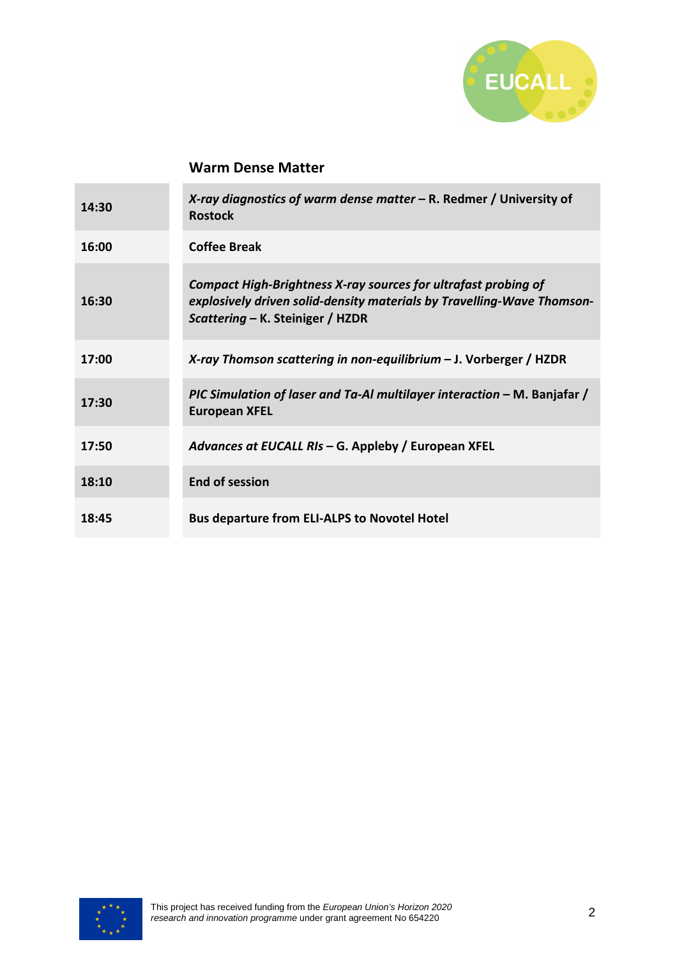

#### **Warm Dense Matter**

| 14:30 | X-ray diagnostics of warm dense matter $-$ R. Redmer / University of<br><b>Rostock</b>                                                                                       |
|-------|------------------------------------------------------------------------------------------------------------------------------------------------------------------------------|
| 16:00 | <b>Coffee Break</b>                                                                                                                                                          |
| 16:30 | Compact High-Brightness X-ray sources for ultrafast probing of<br>explosively driven solid-density materials by Travelling-Wave Thomson-<br>Scattering - K. Steiniger / HZDR |
| 17:00 | X-ray Thomson scattering in non-equilibrium $-$ J. Vorberger / HZDR                                                                                                          |
| 17:30 | PIC Simulation of laser and Ta-Al multilayer interaction - M. Banjafar /<br><b>European XFEL</b>                                                                             |
| 17:50 | Advances at EUCALL RIs – G. Appleby / European XFEL                                                                                                                          |
| 18:10 | <b>End of session</b>                                                                                                                                                        |
| 18:45 | <b>Bus departure from ELI-ALPS to Novotel Hotel</b>                                                                                                                          |

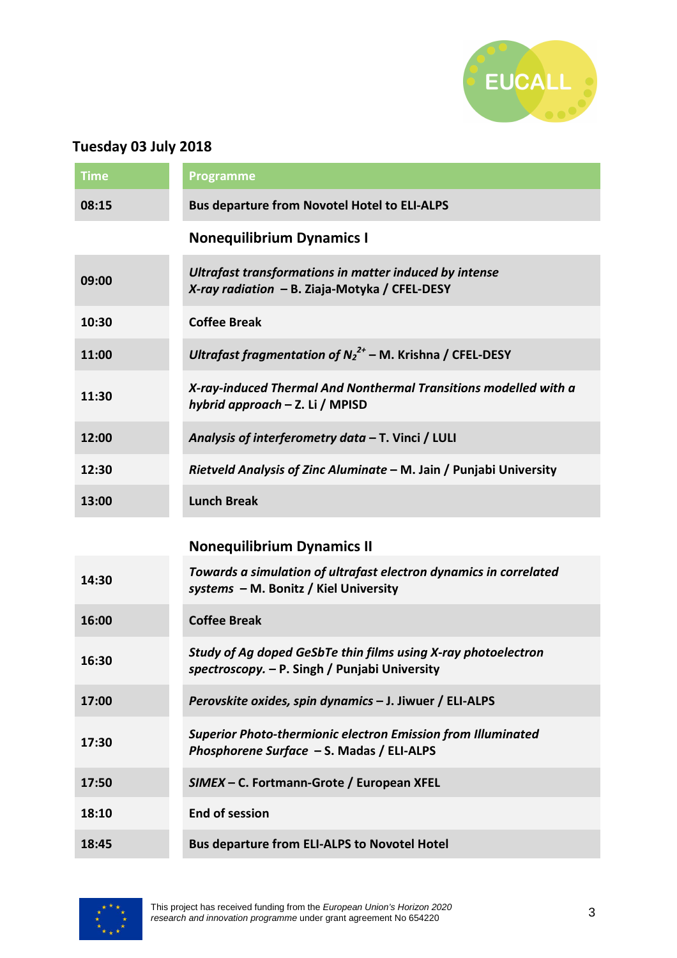

# **Tuesday 03 July 2018**

| <b>Time</b> | <b>Programme</b>                                                                                                 |
|-------------|------------------------------------------------------------------------------------------------------------------|
| 08:15       | <b>Bus departure from Novotel Hotel to ELI-ALPS</b>                                                              |
|             | <b>Nonequilibrium Dynamics I</b>                                                                                 |
| 09:00       | Ultrafast transformations in matter induced by intense<br>X-ray radiation - B. Ziaja-Motyka / CFEL-DESY          |
| 10:30       | <b>Coffee Break</b>                                                                                              |
| 11:00       | Ultrafast fragmentation of $N_2^{2+}$ – M. Krishna / CFEL-DESY                                                   |
| 11:30       | X-ray-induced Thermal And Nonthermal Transitions modelled with a<br>hybrid approach - Z. Li / MPISD              |
| 12:00       | Analysis of interferometry data - T. Vinci / LULI                                                                |
| 12:30       | Rietveld Analysis of Zinc Aluminate - M. Jain / Punjabi University                                               |
| 13:00       | <b>Lunch Break</b>                                                                                               |
|             | <b>Nonequilibrium Dynamics II</b>                                                                                |
| 14:30       | Towards a simulation of ultrafast electron dynamics in correlated<br>systems - M. Bonitz / Kiel University       |
| 16:00       | <b>Coffee Break</b>                                                                                              |
| 16:30       | Study of Ag doped GeSbTe thin films using X-ray photoelectron<br>spectroscopy. - P. Singh / Punjabi University   |
| 17:00       | Perovskite oxides, spin dynamics - J. Jiwuer / ELI-ALPS                                                          |
| 17:30       | <b>Superior Photo-thermionic electron Emission from Illuminated</b><br>Phosphorene Surface - S. Madas / ELI-ALPS |
| 17:50       | SIMEX - C. Fortmann-Grote / European XFEL                                                                        |
| 18:10       | <b>End of session</b>                                                                                            |
| 18:45       | <b>Bus departure from ELI-ALPS to Novotel Hotel</b>                                                              |

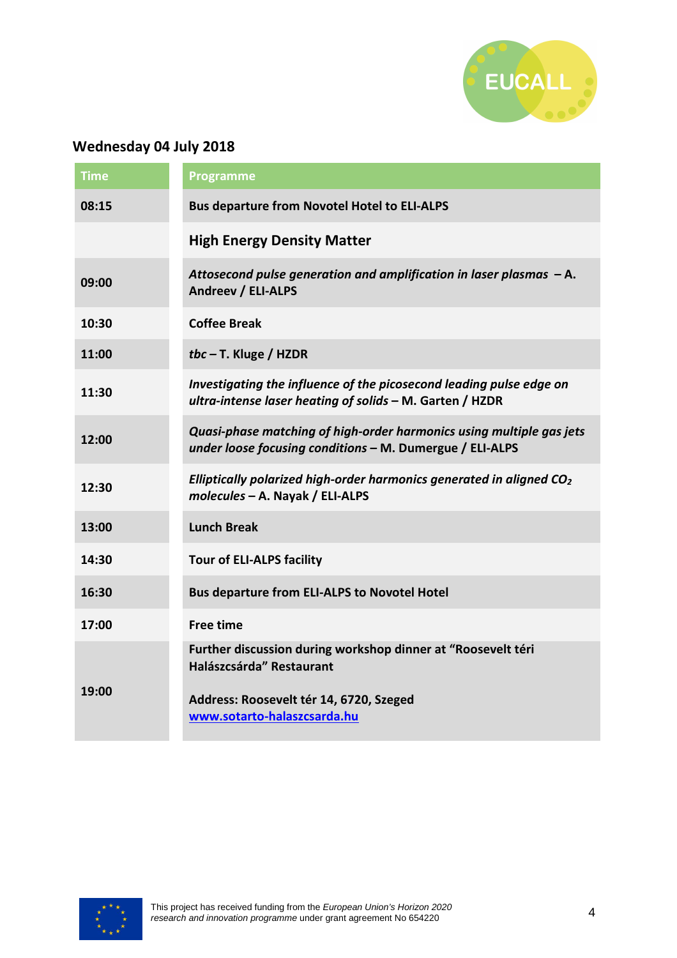

# **Wednesday 04 July 2018**

| <b>Time</b> | <b>Programme</b>                                                                                                                                                   |
|-------------|--------------------------------------------------------------------------------------------------------------------------------------------------------------------|
| 08:15       | <b>Bus departure from Novotel Hotel to ELI-ALPS</b>                                                                                                                |
|             | <b>High Energy Density Matter</b>                                                                                                                                  |
| 09:00       | Attosecond pulse generation and amplification in laser plasmas - A.<br><b>Andreev / ELI-ALPS</b>                                                                   |
| 10:30       | <b>Coffee Break</b>                                                                                                                                                |
| 11:00       | tbc $-$ T. Kluge / HZDR                                                                                                                                            |
| 11:30       | Investigating the influence of the picosecond leading pulse edge on<br>ultra-intense laser heating of solids - M. Garten / HZDR                                    |
| 12:00       | Quasi-phase matching of high-order harmonics using multiple gas jets<br>under loose focusing conditions - M. Dumergue / ELI-ALPS                                   |
| 12:30       | Elliptically polarized high-order harmonics generated in aligned $CO2$<br>molecules - A. Nayak / ELI-ALPS                                                          |
| 13:00       | <b>Lunch Break</b>                                                                                                                                                 |
| 14:30       | <b>Tour of ELI-ALPS facility</b>                                                                                                                                   |
| 16:30       | <b>Bus departure from ELI-ALPS to Novotel Hotel</b>                                                                                                                |
| 17:00       | <b>Free time</b>                                                                                                                                                   |
| 19:00       | Further discussion during workshop dinner at "Roosevelt téri<br>Halászcsárda" Restaurant<br>Address: Roosevelt tér 14, 6720, Szeged<br>www.sotarto-halaszcsarda.hu |
|             |                                                                                                                                                                    |